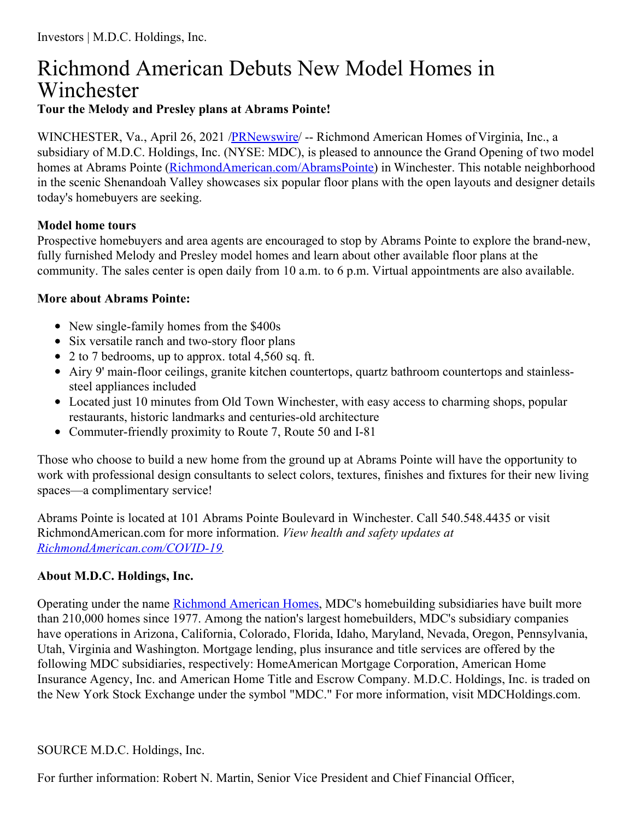## Richmond American Debuts New Model Homes in Winchester **Tour the Melody and Presley plans at Abrams Pointe!**

WINCHESTER, Va., April 26, 2021 [/PRNewswire](http://www.prnewswire.com/)/ -- Richmond American Homes of Virginia, Inc., a subsidiary of M.D.C. Holdings, Inc. (NYSE: MDC), is pleased to announce the Grand Opening of two model homes at Abrams Pointe [\(RichmondAmerican.com/AbramsPointe](https://c212.net/c/link/?t=0&l=en&o=3140331-1&h=168320136&u=https%3A%2F%2Fwww.richmondamerican.com%2Fabramspointe&a=RichmondAmerican.com%2FAbramsPointe)) in Winchester. This notable neighborhood in the scenic Shenandoah Valley showcases six popular floor plans with the open layouts and designer details today's homebuyers are seeking.

## **Model home tours**

Prospective homebuyers and area agents are encouraged to stop by Abrams Pointe to explore the brand-new, fully furnished Melody and Presley model homes and learn about other available floor plans at the community. The sales center is open daily from 10 a.m. to 6 p.m. Virtual appointments are also available.

## **More about Abrams Pointe:**

- New single-family homes from the \$400s
- Six versatile ranch and two-story floor plans
- 2 to 7 bedrooms, up to approx. total 4,560 sq. ft.
- Airy 9' main-floor ceilings, granite kitchen countertops, quartz bathroom countertops and stainlesssteel appliances included
- Located just 10 minutes from Old Town Winchester, with easy access to charming shops, popular restaurants, historic landmarks and centuries-old architecture
- Commuter-friendly proximity to Route 7, Route 50 and I-81

Those who choose to build a new home from the ground up at Abrams Pointe will have the opportunity to work with professional design consultants to select colors, textures, finishes and fixtures for their new living spaces—a complimentary service!

Abrams Pointe is located at 101 Abrams Pointe Boulevard in Winchester. Call 540.548.4435 or visit RichmondAmerican.com for more information. *View health and safety updates at [RichmondAmerican.com/COVID-19](https://c212.net/c/link/?t=0&l=en&o=3140331-1&h=1801941477&u=https%3A%2F%2Fwww.richmondamerican.com%2Fcovid-19&a=RichmondAmerican.com%2FCOVID-19).*

## **About M.D.C. Holdings, Inc.**

Operating under the name [Richmond](https://c212.net/c/link/?t=0&l=en&o=3140331-1&h=2665952047&u=https%3A%2F%2Fwww.richmondamerican.com%2F&a=Richmond+American+Homes) American Homes, MDC's homebuilding subsidiaries have built more than 210,000 homes since 1977. Among the nation's largest homebuilders, MDC's subsidiary companies have operations in Arizona, California, Colorado, Florida, Idaho, Maryland, Nevada, Oregon, Pennsylvania, Utah, Virginia and Washington. Mortgage lending, plus insurance and title services are offered by the following MDC subsidiaries, respectively: HomeAmerican Mortgage Corporation, American Home Insurance Agency, Inc. and American Home Title and Escrow Company. M.D.C. Holdings, Inc. is traded on the New York Stock Exchange under the symbol "MDC." For more information, visit MDCHoldings.com.

SOURCE M.D.C. Holdings, Inc.

For further information: Robert N. Martin, Senior Vice President and Chief Financial Officer,